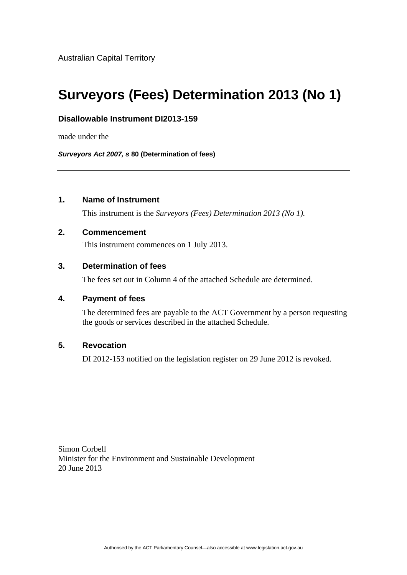# **Surveyors (Fees) Determination 2013 (No 1)**

# **Disallowable Instrument DI2013-159**

made under the

*Surveyors Act 2007, s* **80 (Determination of fees)**

# **1. Name of Instrument**

This instrument is the *Surveyors (Fees) Determination 2013 (No 1).* 

## **2. Commencement**

This instrument commences on 1 July 2013.

# **3. Determination of fees**

The fees set out in Column 4 of the attached Schedule are determined.

#### **4. Payment of fees**

The determined fees are payable to the ACT Government by a person requesting the goods or services described in the attached Schedule.

# **5. Revocation**

DI 2012-153 notified on the legislation register on 29 June 2012 is revoked.

Simon Corbell Minister for the Environment and Sustainable Development 20 June 2013